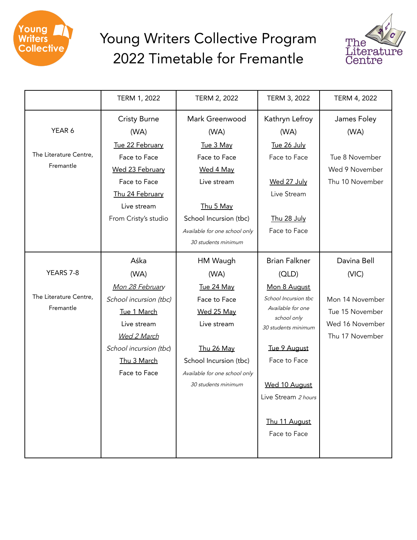

## Young Writers Collective Program 2022 Timetable for Fremantle



|                        | TERM 1, 2022           | TERM 2, 2022                  | TERM 3, 2022                       | TERM 4, 2022    |
|------------------------|------------------------|-------------------------------|------------------------------------|-----------------|
|                        | <b>Cristy Burne</b>    | Mark Greenwood                | Kathryn Lefroy                     | James Foley     |
| YEAR 6                 | (WA)                   | (WA)                          | (WA)                               | (WA)            |
|                        | Tue 22 February        | Tue 3 May                     | Tue 26 July                        |                 |
| The Literature Centre, | Face to Face           | Face to Face                  | Face to Face                       | Tue 8 November  |
| Fremantle              | Wed 23 February        | Wed 4 May                     |                                    | Wed 9 November  |
|                        | Face to Face           | Live stream                   | Wed 27 July                        | Thu 10 November |
|                        | Thu 24 February        |                               | Live Stream                        |                 |
|                        | Live stream            | Thu 5 May                     |                                    |                 |
|                        | From Cristy's studio   | School Incursion (tbc)        | Thu 28 July                        |                 |
|                        |                        | Available for one school only | Face to Face                       |                 |
|                        |                        | 30 students minimum           |                                    |                 |
|                        | Aśka                   | HM Waugh                      | <b>Brian Falkner</b>               | Davina Bell     |
| YEARS 7-8              | (WA)                   | (WA)                          | (OLD)                              | (VIC)           |
|                        | Mon 28 February        | Tue 24 May                    | Mon 8 August                       |                 |
| The Literature Centre, | School incursion (tbc) | Face to Face                  | School Incursion tbc               | Mon 14 November |
| Fremantle              | Tue 1 March            | Wed 25 May                    | Available for one                  | Tue 15 November |
|                        | Live stream            | Live stream                   | school only<br>30 students minimum | Wed 16 November |
|                        | <b>Wed 2 March</b>     |                               |                                    | Thu 17 November |
|                        | School incursion (tbc) | Thu 26 May                    | Tue 9 August                       |                 |
|                        | Thu 3 March            | School Incursion (tbc)        | Face to Face                       |                 |
|                        | Face to Face           | Available for one school only |                                    |                 |
|                        |                        | 30 students minimum           | Wed 10 August                      |                 |
|                        |                        |                               | Live Stream 2 hours                |                 |
|                        |                        |                               |                                    |                 |
|                        |                        |                               | Thu 11 August                      |                 |
|                        |                        |                               | Face to Face                       |                 |
|                        |                        |                               |                                    |                 |
|                        |                        |                               |                                    |                 |